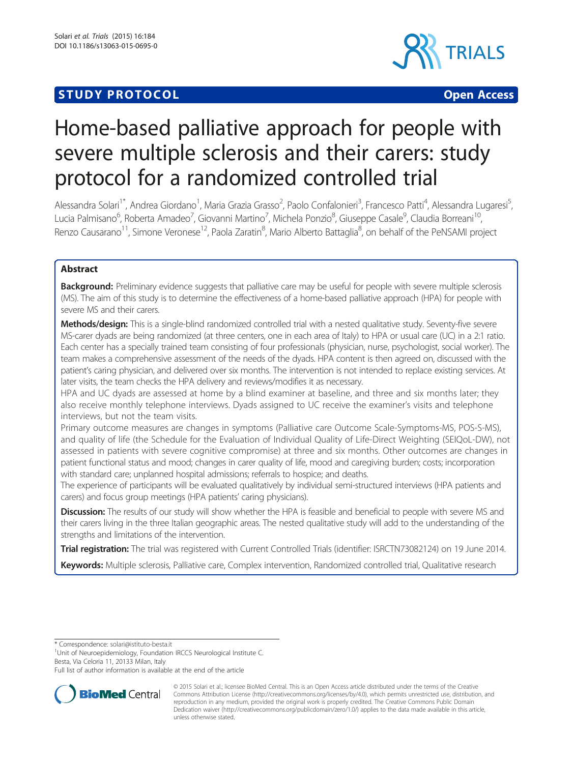# **STUDY PROTOCOL CONSUMING THE RESERVE ACCESS**



# Home-based palliative approach for people with severe multiple sclerosis and their carers: study protocol for a randomized controlled trial

Alessandra Solari<sup>1\*</sup>, Andrea Giordano<sup>1</sup>, Maria Grazia Grasso<sup>2</sup>, Paolo Confalonieri<sup>3</sup>, Francesco Patti<sup>4</sup>, Alessandra Lugaresi<sup>5</sup> , Lucia Palmisano<sup>6</sup>, Roberta Amadeo<sup>7</sup>, Giovanni Martino<sup>7</sup>, Michela Ponzio<sup>8</sup>, Giuseppe Casale<sup>9</sup>, Claudia Borreani<sup>10</sup>, Renzo Causarano<sup>11</sup>, Simone Veronese<sup>12</sup>, Paola Zaratin<sup>8</sup>, Mario Alberto Battaglia<sup>8</sup>, on behalf of the PeNSAMI project

# Abstract

Background: Preliminary evidence suggests that palliative care may be useful for people with severe multiple sclerosis (MS). The aim of this study is to determine the effectiveness of a home-based palliative approach (HPA) for people with severe MS and their carers.

Methods/design: This is a single-blind randomized controlled trial with a nested qualitative study. Seventy-five severe MS-carer dyads are being randomized (at three centers, one in each area of Italy) to HPA or usual care (UC) in a 2:1 ratio. Each center has a specially trained team consisting of four professionals (physician, nurse, psychologist, social worker). The team makes a comprehensive assessment of the needs of the dyads. HPA content is then agreed on, discussed with the patient's caring physician, and delivered over six months. The intervention is not intended to replace existing services. At later visits, the team checks the HPA delivery and reviews/modifies it as necessary.

HPA and UC dyads are assessed at home by a blind examiner at baseline, and three and six months later; they also receive monthly telephone interviews. Dyads assigned to UC receive the examiner's visits and telephone interviews, but not the team visits.

Primary outcome measures are changes in symptoms (Palliative care Outcome Scale-Symptoms-MS, POS-S-MS), and quality of life (the Schedule for the Evaluation of Individual Quality of Life-Direct Weighting (SEIQoL-DW), not assessed in patients with severe cognitive compromise) at three and six months. Other outcomes are changes in patient functional status and mood; changes in carer quality of life, mood and caregiving burden; costs; incorporation with standard care; unplanned hospital admissions; referrals to hospice; and deaths.

The experience of participants will be evaluated qualitatively by individual semi-structured interviews (HPA patients and carers) and focus group meetings (HPA patients' caring physicians).

Discussion: The results of our study will show whether the HPA is feasible and beneficial to people with severe MS and their carers living in the three Italian geographic areas. The nested qualitative study will add to the understanding of the strengths and limitations of the intervention.

Trial registration: The trial was registered with Current Controlled Trials (identifier: [ISRCTN73082124\)](http://www.isrctn.com/ISRCTN73082124) on 19 June 2014.

Keywords: Multiple sclerosis, Palliative care, Complex intervention, Randomized controlled trial, Qualitative research

\* Correspondence: [solari@istituto-besta.it](mailto:solari@istituto-besta.it) <sup>1</sup>

<sup>1</sup>Unit of Neuroepidemiology, Foundation IRCCS Neurological Institute C. Besta, Via Celoria 11, 20133 Milan, Italy

Full list of author information is available at the end of the article



<sup>© 2015</sup> Solari et al.; licensee BioMed Central. This is an Open Access article distributed under the terms of the Creative Commons Attribution License [\(http://creativecommons.org/licenses/by/4.0\)](http://creativecommons.org/licenses/by/4.0), which permits unrestricted use, distribution, and reproduction in any medium, provided the original work is properly credited. The Creative Commons Public Domain Dedication waiver [\(http://creativecommons.org/publicdomain/zero/1.0/](http://creativecommons.org/publicdomain/zero/1.0/)) applies to the data made available in this article, unless otherwise stated.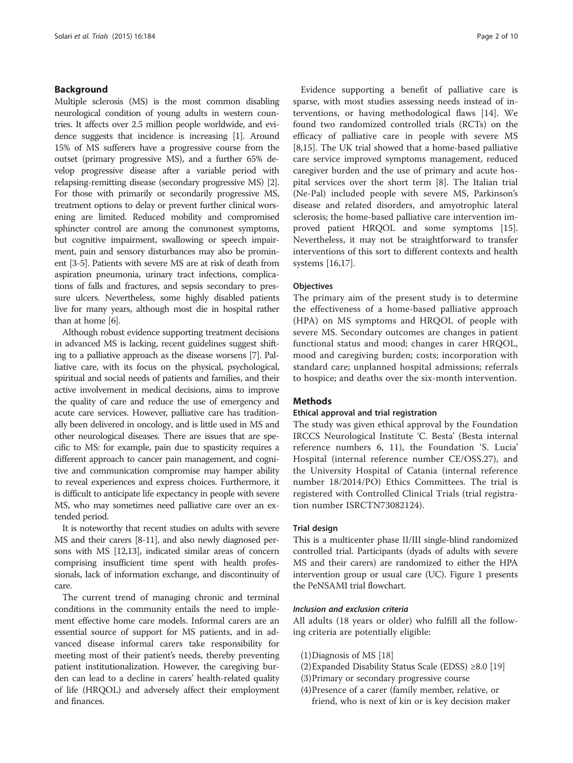# Background

Multiple sclerosis (MS) is the most common disabling neurological condition of young adults in western countries. It affects over 2.5 million people worldwide, and evidence suggests that incidence is increasing [[1\]](#page-8-0). Around 15% of MS sufferers have a progressive course from the outset (primary progressive MS), and a further 65% develop progressive disease after a variable period with relapsing-remitting disease (secondary progressive MS) [[2](#page-8-0)]. For those with primarily or secondarily progressive MS, treatment options to delay or prevent further clinical worsening are limited. Reduced mobility and compromised sphincter control are among the commonest symptoms, but cognitive impairment, swallowing or speech impairment, pain and sensory disturbances may also be prominent [\[3-5\]](#page-8-0). Patients with severe MS are at risk of death from aspiration pneumonia, urinary tract infections, complications of falls and fractures, and sepsis secondary to pressure ulcers. Nevertheless, some highly disabled patients live for many years, although most die in hospital rather than at home [\[6](#page-8-0)].

Although robust evidence supporting treatment decisions in advanced MS is lacking, recent guidelines suggest shifting to a palliative approach as the disease worsens [\[7\]](#page-8-0). Palliative care, with its focus on the physical, psychological, spiritual and social needs of patients and families, and their active involvement in medical decisions, aims to improve the quality of care and reduce the use of emergency and acute care services. However, palliative care has traditionally been delivered in oncology, and is little used in MS and other neurological diseases. There are issues that are specific to MS: for example, pain due to spasticity requires a different approach to cancer pain management, and cognitive and communication compromise may hamper ability to reveal experiences and express choices. Furthermore, it is difficult to anticipate life expectancy in people with severe MS, who may sometimes need palliative care over an extended period.

It is noteworthy that recent studies on adults with severe MS and their carers [\[8-11\]](#page-8-0), and also newly diagnosed persons with MS [\[12,13](#page-9-0)], indicated similar areas of concern comprising insufficient time spent with health professionals, lack of information exchange, and discontinuity of care.

The current trend of managing chronic and terminal conditions in the community entails the need to implement effective home care models. Informal carers are an essential source of support for MS patients, and in advanced disease informal carers take responsibility for meeting most of their patient's needs, thereby preventing patient institutionalization. However, the caregiving burden can lead to a decline in carers' health-related quality of life (HRQOL) and adversely affect their employment and finances.

Evidence supporting a benefit of palliative care is sparse, with most studies assessing needs instead of interventions, or having methodological flaws [\[14](#page-9-0)]. We found two randomized controlled trials (RCTs) on the efficacy of palliative care in people with severe MS [[8,](#page-8-0)[15\]](#page-9-0). The UK trial showed that a home-based palliative care service improved symptoms management, reduced caregiver burden and the use of primary and acute hospital services over the short term [\[8](#page-8-0)]. The Italian trial (Ne-Pal) included people with severe MS, Parkinson's disease and related disorders, and amyotrophic lateral sclerosis; the home-based palliative care intervention improved patient HRQOL and some symptoms [\[15](#page-9-0)]. Nevertheless, it may not be straightforward to transfer interventions of this sort to different contexts and health systems [\[16,17](#page-9-0)].

# **Objectives**

The primary aim of the present study is to determine the effectiveness of a home-based palliative approach (HPA) on MS symptoms and HRQOL of people with severe MS. Secondary outcomes are changes in patient functional status and mood; changes in carer HRQOL, mood and caregiving burden; costs; incorporation with standard care; unplanned hospital admissions; referrals to hospice; and deaths over the six-month intervention.

# Methods

# Ethical approval and trial registration

The study was given ethical approval by the Foundation IRCCS Neurological Institute 'C. Besta' (Besta internal reference numbers 6, 11), the Foundation 'S. Lucia' Hospital (internal reference number CE/OSS.27), and the University Hospital of Catania (internal reference number 18/2014/PO) Ethics Committees. The trial is registered with Controlled Clinical Trials (trial registration number ISRCTN73082124).

# Trial design

This is a multicenter phase II/III single-blind randomized controlled trial. Participants (dyads of adults with severe MS and their carers) are randomized to either the HPA intervention group or usual care (UC). Figure [1](#page-2-0) presents the PeNSAMI trial flowchart.

# Inclusion and exclusion criteria

All adults (18 years or older) who fulfill all the following criteria are potentially eligible:

- (1)Diagnosis of MS [[18](#page-9-0)]
- (2)Expanded Disability Status Scale (EDSS) ≥8.0 [[19](#page-9-0)]
- (3)Primary or secondary progressive course
- (4)Presence of a carer (family member, relative, or friend, who is next of kin or is key decision maker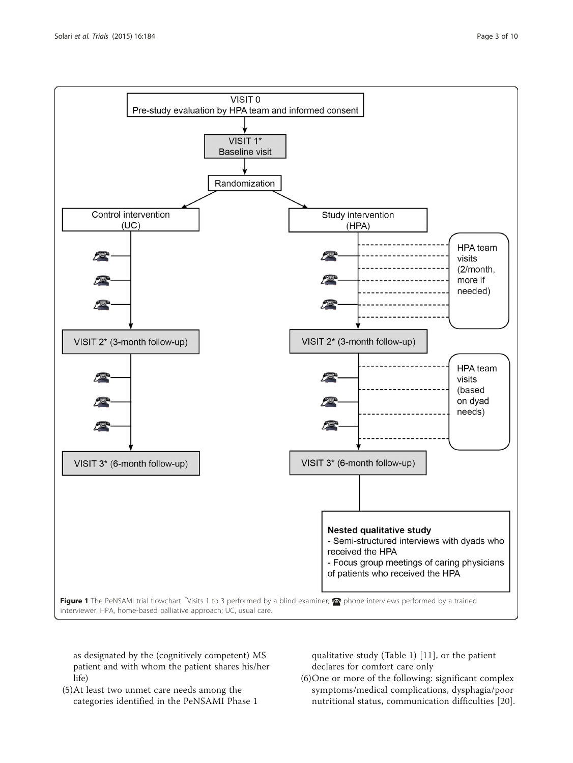<span id="page-2-0"></span>

as designated by the (cognitively competent) MS patient and with whom the patient shares his/her life)

(5)At least two unmet care needs among the categories identified in the PeNSAMI Phase 1 qualitative study (Table [1](#page-3-0)) [[11\]](#page-8-0), or the patient declares for comfort care only

(6)One or more of the following: significant complex symptoms/medical complications, dysphagia/poor nutritional status, communication difficulties [[20](#page-9-0)].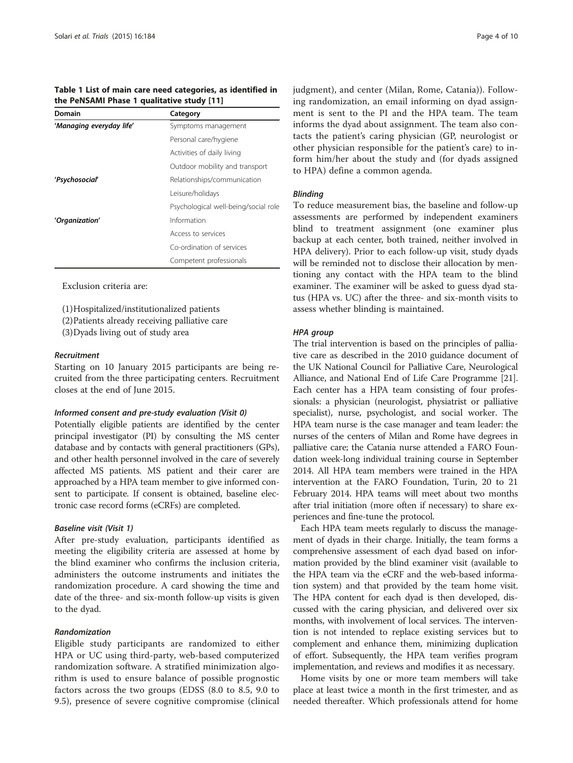<span id="page-3-0"></span>Table 1 List of main care need categories, as identified in the PeNSAMI Phase 1 qualitative study [[11](#page-8-0)]

| Domain                   | Category                             |  |  |
|--------------------------|--------------------------------------|--|--|
| 'Managing everyday life' | Symptoms management                  |  |  |
|                          | Personal care/hygiene                |  |  |
|                          | Activities of daily living           |  |  |
|                          | Outdoor mobility and transport       |  |  |
| 'Psychosocial'           | Relationships/communication          |  |  |
|                          | Leisure/holidays                     |  |  |
|                          | Psychological well-being/social role |  |  |
| 'Organization'           | Information                          |  |  |
|                          | Access to services                   |  |  |
|                          | Co-ordination of services            |  |  |
|                          | Competent professionals              |  |  |

Exclusion criteria are:

(1)Hospitalized/institutionalized patients

(2)Patients already receiving palliative care

(3)Dyads living out of study area

#### Recruitment

Starting on 10 January 2015 participants are being recruited from the three participating centers. Recruitment closes at the end of June 2015.

# Informed consent and pre-study evaluation (Visit 0)

Potentially eligible patients are identified by the center principal investigator (PI) by consulting the MS center database and by contacts with general practitioners (GPs), and other health personnel involved in the care of severely affected MS patients. MS patient and their carer are approached by a HPA team member to give informed consent to participate. If consent is obtained, baseline electronic case record forms (eCRFs) are completed.

#### Baseline visit (Visit 1)

After pre-study evaluation, participants identified as meeting the eligibility criteria are assessed at home by the blind examiner who confirms the inclusion criteria, administers the outcome instruments and initiates the randomization procedure. A card showing the time and date of the three- and six-month follow-up visits is given to the dyad.

# Randomization

Eligible study participants are randomized to either HPA or UC using third-party, web-based computerized randomization software. A stratified minimization algorithm is used to ensure balance of possible prognostic factors across the two groups (EDSS (8.0 to 8.5, 9.0 to 9.5), presence of severe cognitive compromise (clinical judgment), and center (Milan, Rome, Catania)). Following randomization, an email informing on dyad assignment is sent to the PI and the HPA team. The team informs the dyad about assignment. The team also contacts the patient's caring physician (GP, neurologist or other physician responsible for the patient's care) to inform him/her about the study and (for dyads assigned to HPA) define a common agenda.

# Blinding

To reduce measurement bias, the baseline and follow-up assessments are performed by independent examiners blind to treatment assignment (one examiner plus backup at each center, both trained, neither involved in HPA delivery). Prior to each follow-up visit, study dyads will be reminded not to disclose their allocation by mentioning any contact with the HPA team to the blind examiner. The examiner will be asked to guess dyad status (HPA vs. UC) after the three- and six-month visits to assess whether blinding is maintained.

#### HPA group

The trial intervention is based on the principles of palliative care as described in the 2010 guidance document of the UK National Council for Palliative Care, Neurological Alliance, and National End of Life Care Programme [[21](#page-9-0)]. Each center has a HPA team consisting of four professionals: a physician (neurologist, physiatrist or palliative specialist), nurse, psychologist, and social worker. The HPA team nurse is the case manager and team leader: the nurses of the centers of Milan and Rome have degrees in palliative care; the Catania nurse attended a FARO Foundation week-long individual training course in September 2014. All HPA team members were trained in the HPA intervention at the FARO Foundation, Turin, 20 to 21 February 2014. HPA teams will meet about two months after trial initiation (more often if necessary) to share experiences and fine-tune the protocol.

Each HPA team meets regularly to discuss the management of dyads in their charge. Initially, the team forms a comprehensive assessment of each dyad based on information provided by the blind examiner visit (available to the HPA team via the eCRF and the web-based information system) and that provided by the team home visit. The HPA content for each dyad is then developed, discussed with the caring physician, and delivered over six months, with involvement of local services. The intervention is not intended to replace existing services but to complement and enhance them, minimizing duplication of effort. Subsequently, the HPA team verifies program implementation, and reviews and modifies it as necessary.

Home visits by one or more team members will take place at least twice a month in the first trimester, and as needed thereafter. Which professionals attend for home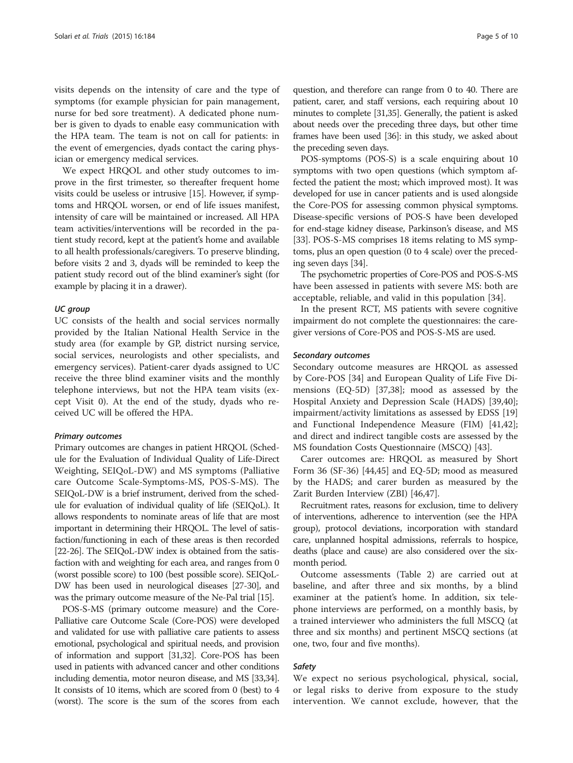visits depends on the intensity of care and the type of symptoms (for example physician for pain management, nurse for bed sore treatment). A dedicated phone number is given to dyads to enable easy communication with the HPA team. The team is not on call for patients: in the event of emergencies, dyads contact the caring physician or emergency medical services.

We expect HRQOL and other study outcomes to improve in the first trimester, so thereafter frequent home visits could be useless or intrusive [[15](#page-9-0)]. However, if symptoms and HRQOL worsen, or end of life issues manifest, intensity of care will be maintained or increased. All HPA team activities/interventions will be recorded in the patient study record, kept at the patient's home and available to all health professionals/caregivers. To preserve blinding, before visits 2 and 3, dyads will be reminded to keep the patient study record out of the blind examiner's sight (for example by placing it in a drawer).

# UC group

UC consists of the health and social services normally provided by the Italian National Health Service in the study area (for example by GP, district nursing service, social services, neurologists and other specialists, and emergency services). Patient-carer dyads assigned to UC receive the three blind examiner visits and the monthly telephone interviews, but not the HPA team visits (except Visit 0). At the end of the study, dyads who received UC will be offered the HPA.

#### Primary outcomes

Primary outcomes are changes in patient HRQOL (Schedule for the Evaluation of Individual Quality of Life-Direct Weighting, SEIQoL-DW) and MS symptoms (Palliative care Outcome Scale-Symptoms-MS, POS-S-MS). The SEIQoL-DW is a brief instrument, derived from the schedule for evaluation of individual quality of life (SEIQoL). It allows respondents to nominate areas of life that are most important in determining their HRQOL. The level of satisfaction/functioning in each of these areas is then recorded [[22](#page-9-0)-[26\]](#page-9-0). The SEIQoL-DW index is obtained from the satisfaction with and weighting for each area, and ranges from 0 (worst possible score) to 100 (best possible score). SEIQoL-DW has been used in neurological diseases [\[27-30](#page-9-0)], and was the primary outcome measure of the Ne-Pal trial [[15](#page-9-0)].

POS-S-MS (primary outcome measure) and the Core-Palliative care Outcome Scale (Core-POS) were developed and validated for use with palliative care patients to assess emotional, psychological and spiritual needs, and provision of information and support [\[31,32\]](#page-9-0). Core-POS has been used in patients with advanced cancer and other conditions including dementia, motor neuron disease, and MS [[33,34](#page-9-0)]. It consists of 10 items, which are scored from 0 (best) to 4 (worst). The score is the sum of the scores from each question, and therefore can range from 0 to 40. There are patient, carer, and staff versions, each requiring about 10 minutes to complete [[31,35\]](#page-9-0). Generally, the patient is asked about needs over the preceding three days, but other time frames have been used [[36](#page-9-0)]: in this study, we asked about the preceding seven days.

POS-symptoms (POS-S) is a scale enquiring about 10 symptoms with two open questions (which symptom affected the patient the most; which improved most). It was developed for use in cancer patients and is used alongside the Core-POS for assessing common physical symptoms. Disease-specific versions of POS-S have been developed for end-stage kidney disease, Parkinson's disease, and MS [[33](#page-9-0)]. POS-S-MS comprises 18 items relating to MS symptoms, plus an open question (0 to 4 scale) over the preceding seven days [[34](#page-9-0)].

The psychometric properties of Core-POS and POS-S-MS have been assessed in patients with severe MS: both are acceptable, reliable, and valid in this population [[34](#page-9-0)].

In the present RCT, MS patients with severe cognitive impairment do not complete the questionnaires: the caregiver versions of Core-POS and POS-S-MS are used.

#### Secondary outcomes

Secondary outcome measures are HRQOL as assessed by Core-POS [\[34](#page-9-0)] and European Quality of Life Five Dimensions (EQ-5D) [[37](#page-9-0),[38](#page-9-0)]; mood as assessed by the Hospital Anxiety and Depression Scale (HADS) [\[39,40](#page-9-0)]; impairment/activity limitations as assessed by EDSS [[19](#page-9-0)] and Functional Independence Measure (FIM) [\[41,42](#page-9-0)]; and direct and indirect tangible costs are assessed by the MS foundation Costs Questionnaire (MSCQ) [[43](#page-9-0)].

Carer outcomes are: HRQOL as measured by Short Form 36 (SF-36) [[44](#page-9-0),[45](#page-9-0)] and EQ-5D; mood as measured by the HADS; and carer burden as measured by the Zarit Burden Interview (ZBI) [\[46,47\]](#page-9-0).

Recruitment rates, reasons for exclusion, time to delivery of interventions, adherence to intervention (see the HPA group), protocol deviations, incorporation with standard care, unplanned hospital admissions, referrals to hospice, deaths (place and cause) are also considered over the sixmonth period.

Outcome assessments (Table [2\)](#page-5-0) are carried out at baseline, and after three and six months, by a blind examiner at the patient's home. In addition, six telephone interviews are performed, on a monthly basis, by a trained interviewer who administers the full MSCQ (at three and six months) and pertinent MSCQ sections (at one, two, four and five months).

#### Safety

We expect no serious psychological, physical, social, or legal risks to derive from exposure to the study intervention. We cannot exclude, however, that the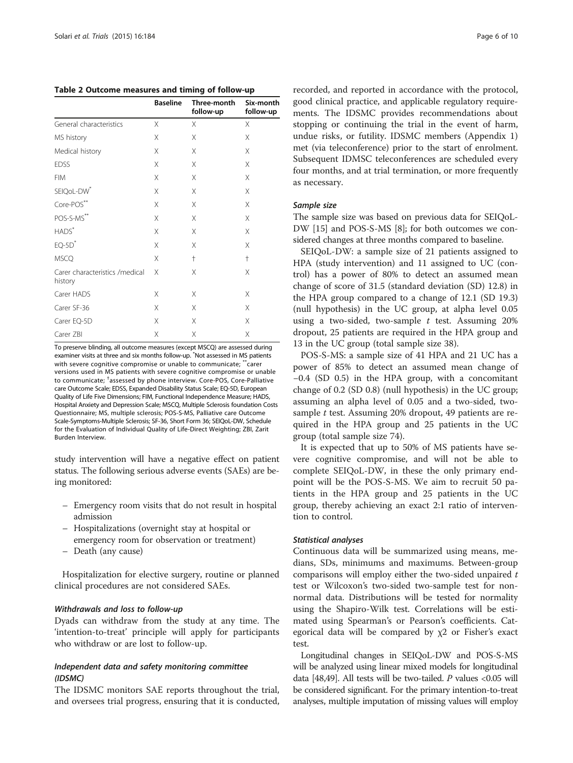<span id="page-5-0"></span>

| Table 2 Outcome measures and timing of follow-up |  |  |  |  |  |
|--------------------------------------------------|--|--|--|--|--|
|--------------------------------------------------|--|--|--|--|--|

|                                           | <b>Baseline</b> | Three-month<br>follow-up | Six-month<br>follow-up |
|-------------------------------------------|-----------------|--------------------------|------------------------|
| General characteristics                   | X               | X                        | X                      |
| MS history                                | X               | X                        | X                      |
| Medical history                           | X               | X                        | X                      |
| <b>EDSS</b>                               | X               | Χ                        | Χ                      |
| <b>FIM</b>                                | Χ               | X                        | X                      |
| SEIQoL-DW <sup>*</sup>                    | X               | X                        | X                      |
| Core-POS**                                | X               | X                        | X                      |
| POS-S-MS**                                | Χ               | X                        | X                      |
| HADS <sup>*</sup>                         | X               | X                        | X                      |
| $EQ-5D^*$                                 | X               | X                        | X                      |
| MSCQ                                      | Χ               | $\ddagger$               | $\ddagger$             |
| Carer characteristics /medical<br>history | Χ               | X                        | X                      |
| Carer HADS                                | Χ               | X                        | X                      |
| Carer SF-36                               | X               | X                        | X                      |
| Carer EQ-5D                               | X               | X                        | X                      |
| Carer ZBI                                 | Χ               | Χ                        | X                      |

To preserve blinding, all outcome measures (except MSCQ) are assessed during examiner visits at three and six months follow-up. \* Not assessed in MS patients with severe cognitive compromise or unable to communicate; \*\*carer versions used in MS patients with severe cognitive compromise or unable to communicate; † assessed by phone interview. Core-POS, Core-Palliative care Outcome Scale; EDSS, Expanded Disability Status Scale; EQ-5D, European Quality of Life Five Dimensions; FIM, Functional Independence Measure; HADS, Hospital Anxiety and Depression Scale; MSCQ, Multiple Sclerosis foundation Costs Questionnaire; MS, multiple sclerosis; POS-S-MS, Palliative care Outcome Scale-Symptoms-Multiple Sclerosis; SF-36, Short Form 36; SEIQoL-DW, Schedule for the Evaluation of Individual Quality of Life-Direct Weighting; ZBI, Zarit Burden Interview.

study intervention will have a negative effect on patient status. The following serious adverse events (SAEs) are being monitored:

- Emergency room visits that do not result in hospital admission
- Hospitalizations (overnight stay at hospital or emergency room for observation or treatment)
- Death (any cause)

Hospitalization for elective surgery, routine or planned clinical procedures are not considered SAEs.

#### Withdrawals and loss to follow-up

Dyads can withdraw from the study at any time. The 'intention-to-treat' principle will apply for participants who withdraw or are lost to follow-up.

# Independent data and safety monitoring committee (IDSMC)

The IDSMC monitors SAE reports throughout the trial, and oversees trial progress, ensuring that it is conducted,

recorded, and reported in accordance with the protocol, good clinical practice, and applicable regulatory requirements. The IDSMC provides recommendations about stopping or continuing the trial in the event of harm, undue risks, or futility. IDSMC members [\(Appendix 1](#page-7-0)) met (via teleconference) prior to the start of enrolment. Subsequent IDMSC teleconferences are scheduled every four months, and at trial termination, or more frequently as necessary.

# Sample size

The sample size was based on previous data for SEIQoL-DW [\[15\]](#page-9-0) and POS-S-MS [\[8](#page-8-0)]; for both outcomes we considered changes at three months compared to baseline.

SEIQoL-DW: a sample size of 21 patients assigned to HPA (study intervention) and 11 assigned to UC (control) has a power of 80% to detect an assumed mean change of score of 31.5 (standard deviation (SD) 12.8) in the HPA group compared to a change of 12.1 (SD 19.3) (null hypothesis) in the UC group, at alpha level 0.05 using a two-sided, two-sample  $t$  test. Assuming 20% dropout, 25 patients are required in the HPA group and 13 in the UC group (total sample size 38).

POS-S-MS: a sample size of 41 HPA and 21 UC has a power of 85% to detect an assumed mean change of −0.4 (SD 0.5) in the HPA group, with a concomitant change of 0.2 (SD 0.8) (null hypothesis) in the UC group; assuming an alpha level of 0.05 and a two-sided, twosample t test. Assuming 20% dropout, 49 patients are required in the HPA group and 25 patients in the UC group (total sample size 74).

It is expected that up to 50% of MS patients have severe cognitive compromise, and will not be able to complete SEIQoL-DW, in these the only primary endpoint will be the POS-S-MS. We aim to recruit 50 patients in the HPA group and 25 patients in the UC group, thereby achieving an exact 2:1 ratio of intervention to control.

# Statistical analyses

Continuous data will be summarized using means, medians, SDs, minimums and maximums. Between-group comparisons will employ either the two-sided unpaired t test or Wilcoxon's two-sided two-sample test for nonnormal data. Distributions will be tested for normality using the Shapiro-Wilk test. Correlations will be estimated using Spearman's or Pearson's coefficients. Categorical data will be compared by  $\chi$ 2 or Fisher's exact test.

Longitudinal changes in SEIQoL-DW and POS-S-MS will be analyzed using linear mixed models for longitudinal data  $[48,49]$  $[48,49]$ . All tests will be two-tailed. P values <0.05 will be considered significant. For the primary intention-to-treat analyses, multiple imputation of missing values will employ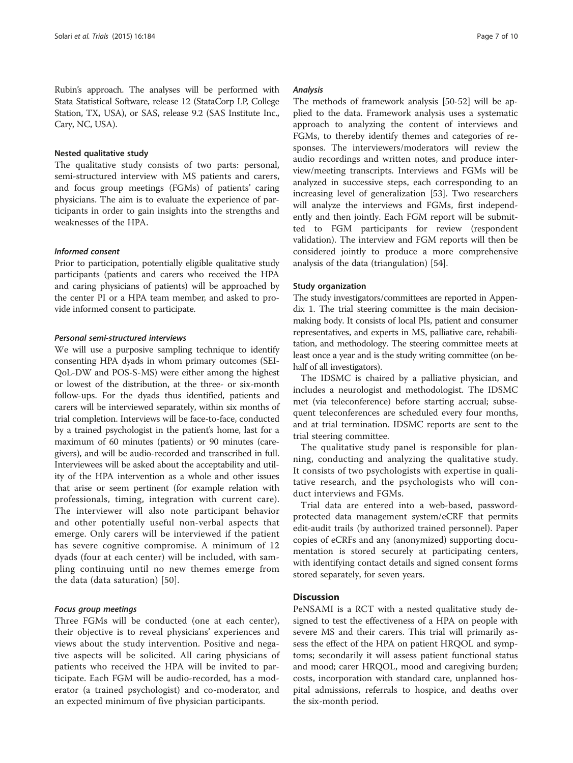Rubin's approach. The analyses will be performed with Stata Statistical Software, release 12 (StataCorp LP, College Station, TX, USA), or SAS, release 9.2 (SAS Institute Inc., Cary, NC, USA).

#### Nested qualitative study

The qualitative study consists of two parts: personal, semi-structured interview with MS patients and carers, and focus group meetings (FGMs) of patients' caring physicians. The aim is to evaluate the experience of participants in order to gain insights into the strengths and weaknesses of the HPA.

#### Informed consent

Prior to participation, potentially eligible qualitative study participants (patients and carers who received the HPA and caring physicians of patients) will be approached by the center PI or a HPA team member, and asked to provide informed consent to participate.

#### Personal semi-structured interviews

We will use a purposive sampling technique to identify consenting HPA dyads in whom primary outcomes (SEI-QoL-DW and POS-S-MS) were either among the highest or lowest of the distribution, at the three- or six-month follow-ups. For the dyads thus identified, patients and carers will be interviewed separately, within six months of trial completion. Interviews will be face-to-face, conducted by a trained psychologist in the patient's home, last for a maximum of 60 minutes (patients) or 90 minutes (caregivers), and will be audio-recorded and transcribed in full. Interviewees will be asked about the acceptability and utility of the HPA intervention as a whole and other issues that arise or seem pertinent (for example relation with professionals, timing, integration with current care). The interviewer will also note participant behavior and other potentially useful non-verbal aspects that emerge. Only carers will be interviewed if the patient has severe cognitive compromise. A minimum of 12 dyads (four at each center) will be included, with sampling continuing until no new themes emerge from the data (data saturation) [[50](#page-9-0)].

# Focus group meetings

Three FGMs will be conducted (one at each center), their objective is to reveal physicians' experiences and views about the study intervention. Positive and negative aspects will be solicited. All caring physicians of patients who received the HPA will be invited to participate. Each FGM will be audio-recorded, has a moderator (a trained psychologist) and co-moderator, and an expected minimum of five physician participants.

#### Analysis

The methods of framework analysis [[50-52](#page-9-0)] will be applied to the data. Framework analysis uses a systematic approach to analyzing the content of interviews and FGMs, to thereby identify themes and categories of responses. The interviewers/moderators will review the audio recordings and written notes, and produce interview/meeting transcripts. Interviews and FGMs will be analyzed in successive steps, each corresponding to an increasing level of generalization [\[53](#page-9-0)]. Two researchers will analyze the interviews and FGMs, first independently and then jointly. Each FGM report will be submitted to FGM participants for review (respondent validation). The interview and FGM reports will then be considered jointly to produce a more comprehensive analysis of the data (triangulation) [[54\]](#page-9-0).

#### Study organization

The study investigators/committees are reported in [Appen](#page-7-0)[dix 1.](#page-7-0) The trial steering committee is the main decisionmaking body. It consists of local PIs, patient and consumer representatives, and experts in MS, palliative care, rehabilitation, and methodology. The steering committee meets at least once a year and is the study writing committee (on behalf of all investigators).

The IDSMC is chaired by a palliative physician, and includes a neurologist and methodologist. The IDSMC met (via teleconference) before starting accrual; subsequent teleconferences are scheduled every four months, and at trial termination. IDSMC reports are sent to the trial steering committee.

The qualitative study panel is responsible for planning, conducting and analyzing the qualitative study. It consists of two psychologists with expertise in qualitative research, and the psychologists who will conduct interviews and FGMs.

Trial data are entered into a web-based, passwordprotected data management system/eCRF that permits edit-audit trails (by authorized trained personnel). Paper copies of eCRFs and any (anonymized) supporting documentation is stored securely at participating centers, with identifying contact details and signed consent forms stored separately, for seven years.

# **Discussion**

PeNSAMI is a RCT with a nested qualitative study designed to test the effectiveness of a HPA on people with severe MS and their carers. This trial will primarily assess the effect of the HPA on patient HRQOL and symptoms; secondarily it will assess patient functional status and mood; carer HRQOL, mood and caregiving burden; costs, incorporation with standard care, unplanned hospital admissions, referrals to hospice, and deaths over the six-month period.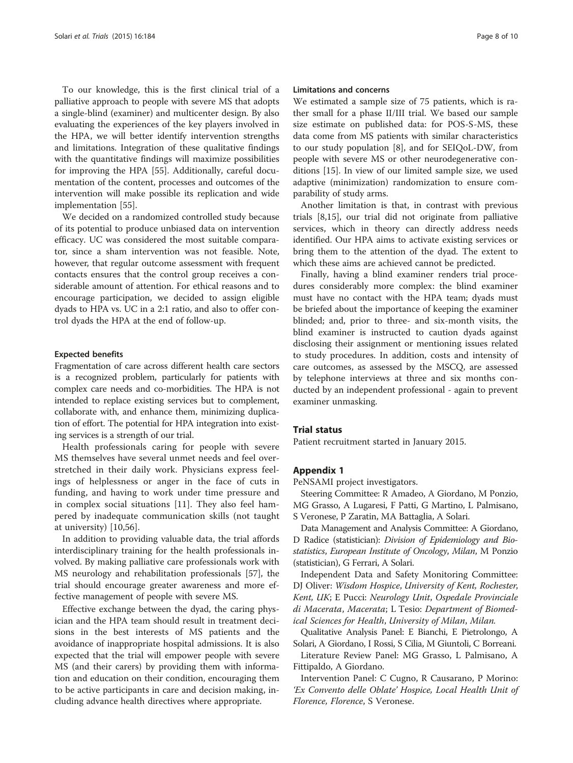<span id="page-7-0"></span>To our knowledge, this is the first clinical trial of a palliative approach to people with severe MS that adopts a single-blind (examiner) and multicenter design. By also evaluating the experiences of the key players involved in the HPA, we will better identify intervention strengths and limitations. Integration of these qualitative findings with the quantitative findings will maximize possibilities for improving the HPA [[55\]](#page-9-0). Additionally, careful documentation of the content, processes and outcomes of the intervention will make possible its replication and wide implementation [[55](#page-9-0)].

We decided on a randomized controlled study because of its potential to produce unbiased data on intervention efficacy. UC was considered the most suitable comparator, since a sham intervention was not feasible. Note, however, that regular outcome assessment with frequent contacts ensures that the control group receives a considerable amount of attention. For ethical reasons and to encourage participation, we decided to assign eligible dyads to HPA vs. UC in a 2:1 ratio, and also to offer control dyads the HPA at the end of follow-up.

#### Expected benefits

Fragmentation of care across different health care sectors is a recognized problem, particularly for patients with complex care needs and co-morbidities. The HPA is not intended to replace existing services but to complement, collaborate with, and enhance them, minimizing duplication of effort. The potential for HPA integration into existing services is a strength of our trial.

Health professionals caring for people with severe MS themselves have several unmet needs and feel overstretched in their daily work. Physicians express feelings of helplessness or anger in the face of cuts in funding, and having to work under time pressure and in complex social situations [\[11](#page-8-0)]. They also feel hampered by inadequate communication skills (not taught at university) [[10,](#page-8-0)[56\]](#page-9-0).

In addition to providing valuable data, the trial affords interdisciplinary training for the health professionals involved. By making palliative care professionals work with MS neurology and rehabilitation professionals [\[57](#page-9-0)], the trial should encourage greater awareness and more effective management of people with severe MS.

Effective exchange between the dyad, the caring physician and the HPA team should result in treatment decisions in the best interests of MS patients and the avoidance of inappropriate hospital admissions. It is also expected that the trial will empower people with severe MS (and their carers) by providing them with information and education on their condition, encouraging them to be active participants in care and decision making, including advance health directives where appropriate.

#### Limitations and concerns

We estimated a sample size of 75 patients, which is rather small for a phase II/III trial. We based our sample size estimate on published data: for POS-S-MS, these data come from MS patients with similar characteristics to our study population [[8](#page-8-0)], and for SEIQoL-DW, from people with severe MS or other neurodegenerative conditions [\[15\]](#page-9-0). In view of our limited sample size, we used adaptive (minimization) randomization to ensure comparability of study arms.

Another limitation is that, in contrast with previous trials [[8,](#page-8-0)[15\]](#page-9-0), our trial did not originate from palliative services, which in theory can directly address needs identified. Our HPA aims to activate existing services or bring them to the attention of the dyad. The extent to which these aims are achieved cannot be predicted.

Finally, having a blind examiner renders trial procedures considerably more complex: the blind examiner must have no contact with the HPA team; dyads must be briefed about the importance of keeping the examiner blinded; and, prior to three- and six-month visits, the blind examiner is instructed to caution dyads against disclosing their assignment or mentioning issues related to study procedures. In addition, costs and intensity of care outcomes, as assessed by the MSCQ, are assessed by telephone interviews at three and six months conducted by an independent professional - again to prevent examiner unmasking.

# Trial status

Patient recruitment started in January 2015.

# Appendix 1

PeNSAMI project investigators.

Steering Committee: R Amadeo, A Giordano, M Ponzio, MG Grasso, A Lugaresi, F Patti, G Martino, L Palmisano, S Veronese, P Zaratin, MA Battaglia, A Solari.

Data Management and Analysis Committee: A Giordano, D Radice (statistician): Division of Epidemiology and Biostatistics, European Institute of Oncology, Milan, M Ponzio (statistician), G Ferrari, A Solari.

Independent Data and Safety Monitoring Committee: DJ Oliver: Wisdom Hospice, University of Kent, Rochester, Kent, UK; E Pucci: Neurology Unit, Ospedale Provinciale di Macerata, Macerata; L Tesio: Department of Biomedical Sciences for Health, University of Milan, Milan.

Qualitative Analysis Panel: E Bianchi, E Pietrolongo, A Solari, A Giordano, I Rossi, S Cilia, M Giuntoli, C Borreani.

Literature Review Panel: MG Grasso, L Palmisano, A Fittipaldo, A Giordano.

Intervention Panel: C Cugno, R Causarano, P Morino: 'Ex Convento delle Oblate' Hospice, Local Health Unit of Florence, Florence, S Veronese.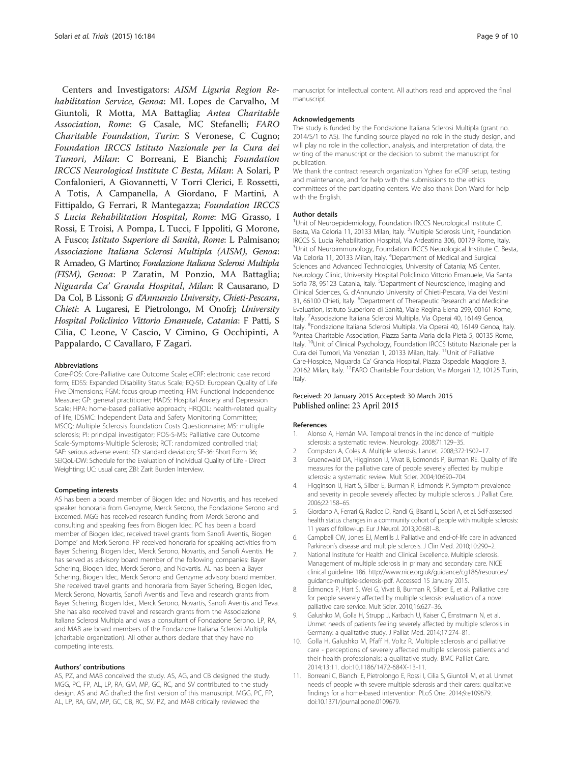<span id="page-8-0"></span>Centers and Investigators: AISM Liguria Region Rehabilitation Service, Genoa: ML Lopes de Carvalho, M Giuntoli, R Motta, MA Battaglia; Antea Charitable Association, Rome: G Casale, MC Stefanelli; FARO Charitable Foundation, Turin: S Veronese, C Cugno; Foundation IRCCS Istituto Nazionale per la Cura dei Tumori, Milan: C Borreani, E Bianchi; Foundation IRCCS Neurological Institute C Besta, Milan: A Solari, P Confalonieri, A Giovannetti, V Torri Clerici, E Rossetti, A Totis, A Campanella, A Giordano, F Martini, A Fittipaldo, G Ferrari, R Mantegazza; Foundation IRCCS S Lucia Rehabilitation Hospital, Rome: MG Grasso, I Rossi, E Troisi, A Pompa, L Tucci, F Ippoliti, G Morone, A Fusco; Istituto Superiore di Sanità, Rome: L Palmisano; Associazione Italiana Sclerosi Multipla (AISM), Genoa: R Amadeo, G Martino; Fondazione Italiana Sclerosi Multipla (FISM), Genoa: P Zaratin, M Ponzio, MA Battaglia; Niguarda Ca' Granda Hospital, Milan: R Causarano, D Da Col, B Lissoni; G d'Annunzio University, Chieti-Pescara, Chieti: A Lugaresi, E Pietrolongo, M Onofrj; University Hospital Policlinico Vittorio Emanuele, Catania: F Patti, S Cilia, C Leone, V Cascio, V Cimino, G Occhipinti, A Pappalardo, C Cavallaro, F Zagari.

#### Abbreviations

Core-POS: Core-Palliative care Outcome Scale; eCRF: electronic case record form; EDSS: Expanded Disability Status Scale; EQ-5D: European Quality of Life Five Dimensions; FGM: focus group meeting; FIM: Functional Independence Measure; GP: general practitioner; HADS: Hospital Anxiety and Depression Scale; HPA: home-based palliative approach; HRQOL: health-related quality of life; IDSMC: Independent Data and Safety Monitoring Committee; MSCQ: Multiple Sclerosis foundation Costs Questionnaire; MS: multiple sclerosis; PI: principal investigator; POS-S-MS: Palliative care Outcome Scale-Symptoms-Multiple Sclerosis; RCT: randomized controlled trial; SAE: serious adverse event; SD: standard deviation; SF-36: Short Form 36; SEIQoL-DW: Schedule for the Evaluation of Individual Quality of Life - Direct Weighting; UC: usual care; ZBI: Zarit Burden Interview.

#### Competing interests

AS has been a board member of Biogen Idec and Novartis, and has received speaker honoraria from Genzyme, Merck Serono, the Fondazione Serono and Excemed. MGG has received research funding from Merck Serono and consulting and speaking fees from Biogen Idec. PC has been a board member of Biogen Idec, received travel grants from Sanofi Aventis, Biogen Dompe' and Merk Serono. FP received honoraria for speaking activities from Bayer Schering, Biogen Idec, Merck Serono, Novartis, and Sanofi Aventis. He has served as advisory board member of the following companies: Bayer Schering, Biogen Idec, Merck Serono, and Novartis. AL has been a Bayer Schering, Biogen Idec, Merck Serono and Genzyme advisory board member. She received travel grants and honoraria from Bayer Schering, Biogen Idec, Merck Serono, Novartis, Sanofi Aventis and Teva and research grants from Bayer Schering, Biogen Idec, Merck Serono, Novartis, Sanofi Aventis and Teva. She has also received travel and research grants from the Associazione Italiana Sclerosi Multipla and was a consultant of Fondazione Serono. LP, RA, and MAB are board members of the Fondazione Italiana Sclerosi Multipla (charitable organization). All other authors declare that they have no competing interests.

#### Authors' contributions

AS, PZ, and MAB conceived the study. AS, AG, and CB designed the study. MGG, PC, FP, AL, LP, RA, GM, MP, GC, RC, and SV contributed to the study design. AS and AG drafted the first version of this manuscript. MGG, PC, FP, AL, LP, RA, GM, MP, GC, CB, RC, SV, PZ, and MAB critically reviewed the

manuscript for intellectual content. All authors read and approved the final manuscript.

#### Acknowledgements

The study is funded by the Fondazione Italiana Sclerosi Multipla (grant no. 2014/S/1 to AS). The funding source played no role in the study design, and will play no role in the collection, analysis, and interpretation of data, the writing of the manuscript or the decision to submit the manuscript for publication.

We thank the contract research organization Yghea for eCRF setup, testing and maintenance, and for help with the submissions to the ethics committees of the participating centers. We also thank Don Ward for help with the English.

#### Author details

<sup>1</sup>Unit of Neuroepidemiology, Foundation IRCCS Neurological Institute C Besta, Via Celoria 11, 20133 Milan, Italy. <sup>2</sup>Multiple Sclerosis Unit, Foundation IRCCS S. Lucia Rehabilitation Hospital, Via Ardeatina 306, 00179 Rome, Italy. <sup>3</sup>Unit of Neuroimmunology, Foundation IRCCS Neurological Institute C. Besta, Via Celoria 11, 20133 Milan, Italy. <sup>4</sup>Department of Medical and Surgical Sciences and Advanced Technologies, University of Catania; MS Center, Neurology Clinic, University Hospital Policlinico Vittorio Emanuele, Via Santa Sofia 78, 95123 Catania, Italy. <sup>5</sup>Department of Neuroscience, Imaging and Clinical Sciences, G. d'Annunzio University of Chieti-Pescara, Via dei Vestini 31, 66100 Chieti, Italy. <sup>6</sup>Department of Therapeutic Research and Medicine Evaluation, Istituto Superiore di Sanità, Viale Regina Elena 299, 00161 Rome, Italy. <sup>7</sup>Associazione Italiana Sclerosi Multipla, Via Operai 40, 16149 Genoa Italy. <sup>8</sup> Fondazione Italiana Sclerosi Multipla, Via Operai 40, 16149 Genoa, Italy<br><sup>9</sup> Antea Charitable Association, Piazza Santa Maria della Pietà 5, 00135 Rome <sup>9</sup> Antea Charitable Association, Piazza Santa Maria della Pietà 5, 00135 Rome, Italy. <sup>10</sup>Unit of Clinical Psychology, Foundation IRCCS Istituto Nazionale per la Cura dei Tumori, Via Venezian 1, 20133 Milan, Italy. 11Unit of Palliative Care-Hospice, Niguarda Ca' Granda Hospital, Piazza Ospedale Maggiore 3, 20162 Milan, Italy. 12FARO Charitable Foundation, Via Morgari 12, 10125 Turin, Italy.

#### Received: 20 January 2015 Accepted: 30 March 2015 Published online: 23 April 2015

#### References

- 1. Alonso A, Hernán MA. Temporal trends in the incidence of multiple sclerosis: a systematic review. Neurology. 2008;71:129–35.
- 2. Compston A, Coles A. Multiple sclerosis. Lancet. 2008;372:1502–17.
- 3. Gruenewald DA, Higginson IJ, Vivat B, Edmonds P, Burman RE. Quality of life measures for the palliative care of people severely affected by multiple sclerosis: a systematic review. Mult Scler. 2004;10:690–704.
- 4. Higginson IJ, Hart S, Silber E, Burman R, Edmonds P. Symptom prevalence and severity in people severely affected by multiple sclerosis. J Palliat Care. 2006;22:158–65.
- 5. Giordano A, Ferrari G, Radice D, Randi G, Bisanti L, Solari A, et al. Self-assessed health status changes in a community cohort of people with multiple sclerosis: 11 years of follow-up. Eur J Neurol. 2013;20:681–8.
- 6. Campbell CW, Jones EJ, Merrills J. Palliative and end-of-life care in advanced Parkinson's disease and multiple sclerosis. J Clin Med. 2010;10:290–2.
- 7. National Institute for Health and Clinical Excellence. Multiple sclerosis. Management of multiple sclerosis in primary and secondary care. NICE clinical guideline 186. [http://www.nice.org.uk/guidance/cg186/resources/](http://www.nice.org.uk/guidance/cg186/resources/guidance-multiple-sclerosis-pdf) [guidance-multiple-sclerosis-pdf](http://www.nice.org.uk/guidance/cg186/resources/guidance-multiple-sclerosis-pdf). Accessed 15 January 2015.
- 8. Edmonds P, Hart S, Wei G, Vivat B, Burman R, Silber E, et al. Palliative care for people severely affected by multiple sclerosis: evaluation of a novel palliative care service. Mult Scler. 2010;16:627–36.
- 9. Galushko M, Golla H, Strupp J, Karbach U, Kaiser C, Ernstmann N, et al. Unmet needs of patients feeling severely affected by multiple sclerosis in Germany: a qualitative study. J Palliat Med. 2014;17:274–81.
- 10. Golla H, Galushko M, Pfaff H, Voltz R. Multiple sclerosis and palliative care - perceptions of severely affected multiple sclerosis patients and their health professionals: a qualitative study. BMC Palliat Care. 2014;13:11. doi:10.1186/1472-684X-13-11.
- 11. Borreani C, Bianchi E, Pietrolongo E, Rossi I, Cilia S, Giuntoli M, et al. Unmet needs of people with severe multiple sclerosis and their carers: qualitative findings for a home-based intervention. PLoS One. 2014;9:e109679. doi:10.1371/journal.pone.0109679.